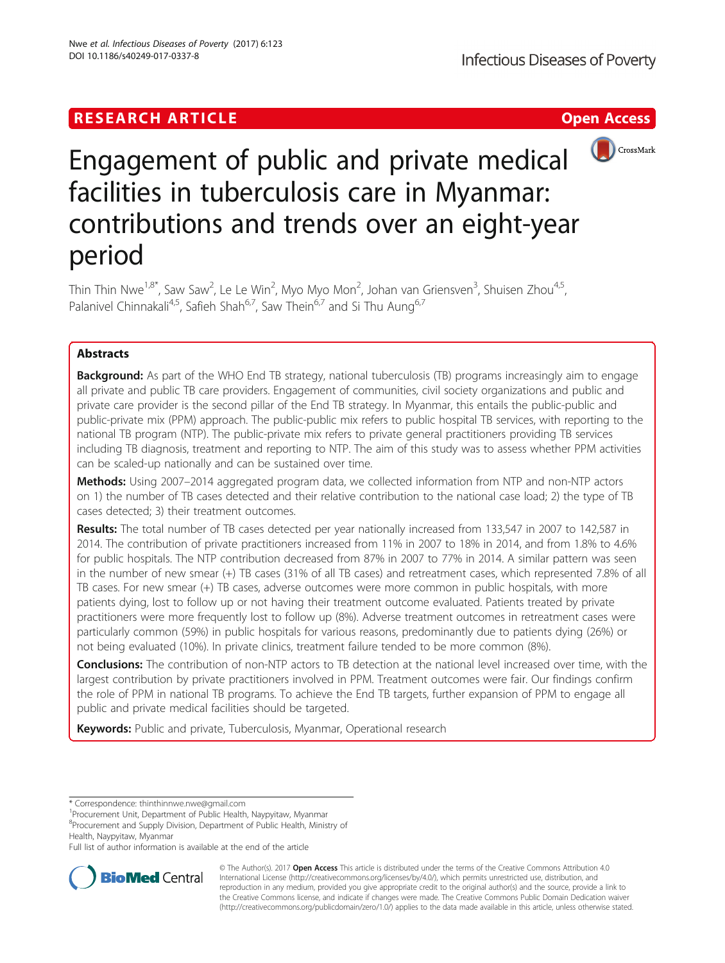# **RESEARCH ARTICLE Example 2018 12:30 The Contract of Contract ACCESS**



# Engagement of public and private medical facilities in tuberculosis care in Myanmar: contributions and trends over an eight-year period

Thin Thin Nwe<sup>1,8\*</sup>, Saw Saw<sup>2</sup>, Le Le Win<sup>2</sup>, Myo Myo Mon<sup>2</sup>, Johan van Griensven<sup>3</sup>, Shuisen Zhou<sup>4,5</sup>, Palanivel Chinnakali<sup>4,5</sup>, Safieh Shah<sup>6,7</sup>, Saw Thein<sup>6,7</sup> and Si Thu Aung<sup>6,7</sup>

# Abstracts

**Background:** As part of the WHO End TB strategy, national tuberculosis (TB) programs increasingly aim to engage all private and public TB care providers. Engagement of communities, civil society organizations and public and private care provider is the second pillar of the End TB strategy. In Myanmar, this entails the public-public and public-private mix (PPM) approach. The public-public mix refers to public hospital TB services, with reporting to the national TB program (NTP). The public-private mix refers to private general practitioners providing TB services including TB diagnosis, treatment and reporting to NTP. The aim of this study was to assess whether PPM activities can be scaled-up nationally and can be sustained over time.

Methods: Using 2007-2014 aggregated program data, we collected information from NTP and non-NTP actors on 1) the number of TB cases detected and their relative contribution to the national case load; 2) the type of TB cases detected; 3) their treatment outcomes.

Results: The total number of TB cases detected per year nationally increased from 133,547 in 2007 to 142,587 in 2014. The contribution of private practitioners increased from 11% in 2007 to 18% in 2014, and from 1.8% to 4.6% for public hospitals. The NTP contribution decreased from 87% in 2007 to 77% in 2014. A similar pattern was seen in the number of new smear (+) TB cases (31% of all TB cases) and retreatment cases, which represented 7.8% of all TB cases. For new smear (+) TB cases, adverse outcomes were more common in public hospitals, with more patients dying, lost to follow up or not having their treatment outcome evaluated. Patients treated by private practitioners were more frequently lost to follow up (8%). Adverse treatment outcomes in retreatment cases were particularly common (59%) in public hospitals for various reasons, predominantly due to patients dying (26%) or not being evaluated (10%). In private clinics, treatment failure tended to be more common (8%).

Conclusions: The contribution of non-NTP actors to TB detection at the national level increased over time, with the largest contribution by private practitioners involved in PPM. Treatment outcomes were fair. Our findings confirm the role of PPM in national TB programs. To achieve the End TB targets, further expansion of PPM to engage all public and private medical facilities should be targeted.

Keywords: Public and private, Tuberculosis, Myanmar, Operational research

Full list of author information is available at the end of the article



© The Author(s). 2017 **Open Access** This article is distributed under the terms of the Creative Commons Attribution 4.0 International License [\(http://creativecommons.org/licenses/by/4.0/](http://creativecommons.org/licenses/by/4.0/)), which permits unrestricted use, distribution, and reproduction in any medium, provided you give appropriate credit to the original author(s) and the source, provide a link to the Creative Commons license, and indicate if changes were made. The Creative Commons Public Domain Dedication waiver [\(http://creativecommons.org/publicdomain/zero/1.0/](http://creativecommons.org/publicdomain/zero/1.0/)) applies to the data made available in this article, unless otherwise stated.

<sup>\*</sup> Correspondence: [thinthinnwe.nwe@gmail.com](mailto:thinthinnwe.nwe@gmail.com) <sup>1</sup>

<sup>&</sup>lt;sup>1</sup> Procurement Unit, Department of Public Health, Naypyitaw, Myanmar

<sup>&</sup>lt;sup>8</sup> Procurement and Supply Division, Department of Public Health, Ministry of Health, Naypyitaw, Myanmar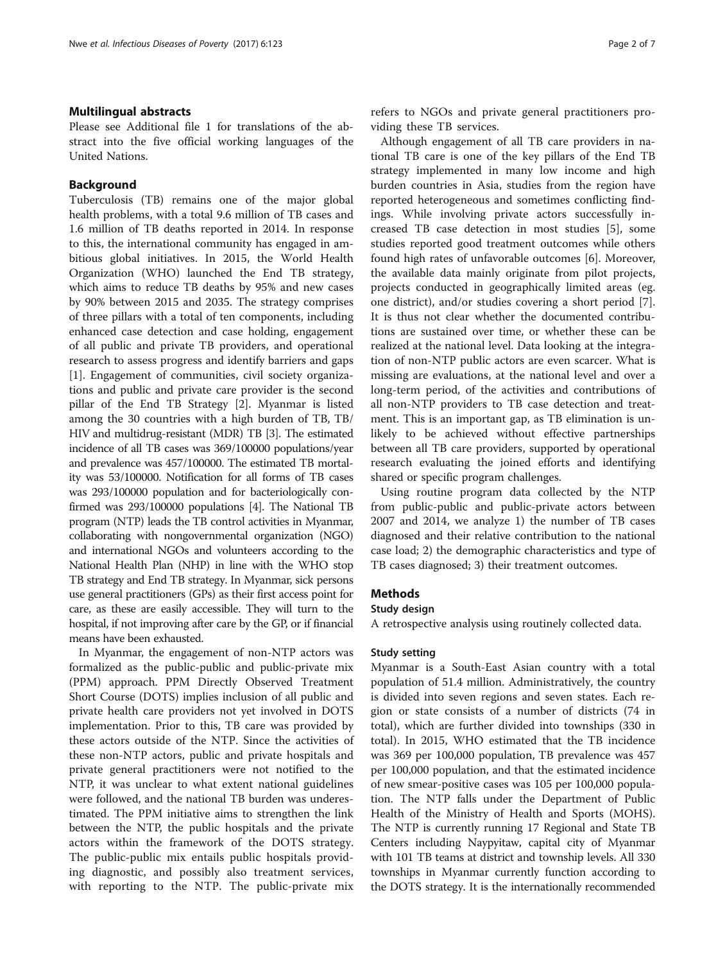#### Multilingual abstracts

Please see Additional file [1](#page-5-0) for translations of the abstract into the five official working languages of the United Nations.

# **Background**

Tuberculosis (TB) remains one of the major global health problems, with a total 9.6 million of TB cases and 1.6 million of TB deaths reported in 2014. In response to this, the international community has engaged in ambitious global initiatives. In 2015, the World Health Organization (WHO) launched the End TB strategy, which aims to reduce TB deaths by 95% and new cases by 90% between 2015 and 2035. The strategy comprises of three pillars with a total of ten components, including enhanced case detection and case holding, engagement of all public and private TB providers, and operational research to assess progress and identify barriers and gaps [[1\]](#page-6-0). Engagement of communities, civil society organizations and public and private care provider is the second pillar of the End TB Strategy [\[2](#page-6-0)]. Myanmar is listed among the 30 countries with a high burden of TB, TB/ HIV and multidrug-resistant (MDR) TB [\[3\]](#page-6-0). The estimated incidence of all TB cases was 369/100000 populations/year and prevalence was 457/100000. The estimated TB mortality was 53/100000. Notification for all forms of TB cases was 293/100000 population and for bacteriologically confirmed was 293/100000 populations [[4](#page-6-0)]. The National TB program (NTP) leads the TB control activities in Myanmar, collaborating with nongovernmental organization (NGO) and international NGOs and volunteers according to the National Health Plan (NHP) in line with the WHO stop TB strategy and End TB strategy. In Myanmar, sick persons use general practitioners (GPs) as their first access point for care, as these are easily accessible. They will turn to the hospital, if not improving after care by the GP, or if financial means have been exhausted.

In Myanmar, the engagement of non-NTP actors was formalized as the public-public and public-private mix (PPM) approach. PPM Directly Observed Treatment Short Course (DOTS) implies inclusion of all public and private health care providers not yet involved in DOTS implementation. Prior to this, TB care was provided by these actors outside of the NTP. Since the activities of these non-NTP actors, public and private hospitals and private general practitioners were not notified to the NTP, it was unclear to what extent national guidelines were followed, and the national TB burden was underestimated. The PPM initiative aims to strengthen the link between the NTP, the public hospitals and the private actors within the framework of the DOTS strategy. The public-public mix entails public hospitals providing diagnostic, and possibly also treatment services, with reporting to the NTP. The public-private mix refers to NGOs and private general practitioners providing these TB services.

Although engagement of all TB care providers in national TB care is one of the key pillars of the End TB strategy implemented in many low income and high burden countries in Asia, studies from the region have reported heterogeneous and sometimes conflicting findings. While involving private actors successfully increased TB case detection in most studies [\[5](#page-6-0)], some studies reported good treatment outcomes while others found high rates of unfavorable outcomes [[6\]](#page-6-0). Moreover, the available data mainly originate from pilot projects, projects conducted in geographically limited areas (eg. one district), and/or studies covering a short period [\[7](#page-6-0)]. It is thus not clear whether the documented contributions are sustained over time, or whether these can be realized at the national level. Data looking at the integration of non-NTP public actors are even scarcer. What is missing are evaluations, at the national level and over a long-term period, of the activities and contributions of all non-NTP providers to TB case detection and treatment. This is an important gap, as TB elimination is unlikely to be achieved without effective partnerships between all TB care providers, supported by operational research evaluating the joined efforts and identifying shared or specific program challenges.

Using routine program data collected by the NTP from public-public and public-private actors between 2007 and 2014, we analyze 1) the number of TB cases diagnosed and their relative contribution to the national case load; 2) the demographic characteristics and type of TB cases diagnosed; 3) their treatment outcomes.

## **Methods**

#### Study design

A retrospective analysis using routinely collected data.

#### Study setting

Myanmar is a South-East Asian country with a total population of 51.4 million. Administratively, the country is divided into seven regions and seven states. Each region or state consists of a number of districts (74 in total), which are further divided into townships (330 in total). In 2015, WHO estimated that the TB incidence was 369 per 100,000 population, TB prevalence was 457 per 100,000 population, and that the estimated incidence of new smear-positive cases was 105 per 100,000 population. The NTP falls under the Department of Public Health of the Ministry of Health and Sports (MOHS). The NTP is currently running 17 Regional and State TB Centers including Naypyitaw, capital city of Myanmar with 101 TB teams at district and township levels. All 330 townships in Myanmar currently function according to the DOTS strategy. It is the internationally recommended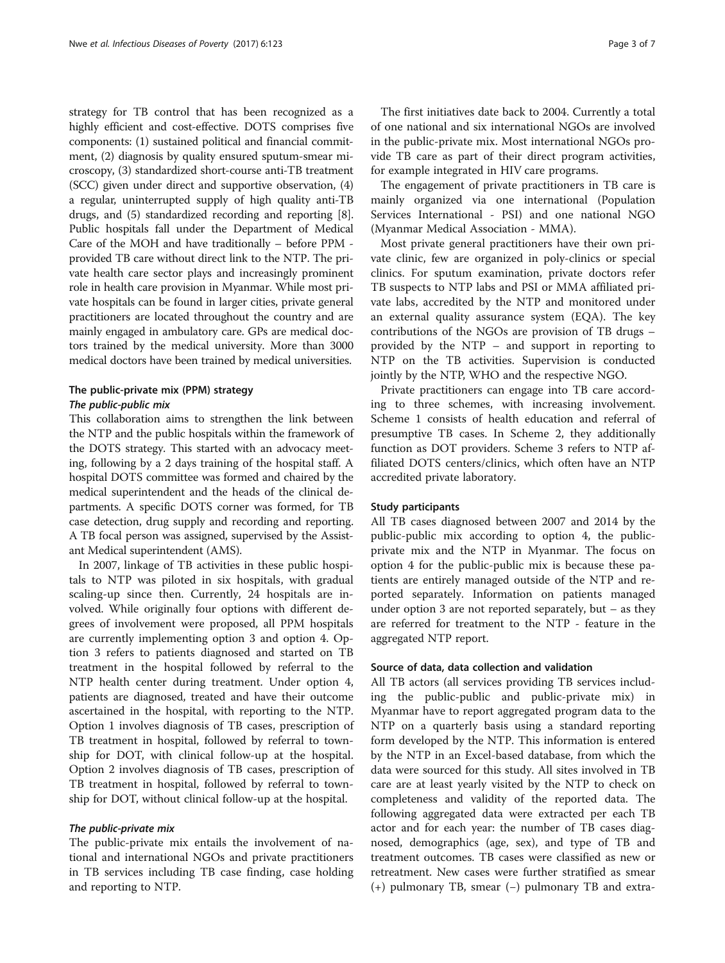strategy for TB control that has been recognized as a highly efficient and cost-effective. DOTS comprises five components: (1) sustained political and financial commitment, (2) diagnosis by quality ensured sputum-smear microscopy, (3) standardized short-course anti-TB treatment (SCC) given under direct and supportive observation, (4) a regular, uninterrupted supply of high quality anti-TB drugs, and (5) standardized recording and reporting [[8](#page-6-0)]. Public hospitals fall under the Department of Medical Care of the MOH and have traditionally – before PPM provided TB care without direct link to the NTP. The private health care sector plays and increasingly prominent role in health care provision in Myanmar. While most private hospitals can be found in larger cities, private general practitioners are located throughout the country and are mainly engaged in ambulatory care. GPs are medical doctors trained by the medical university. More than 3000 medical doctors have been trained by medical universities.

# The public-private mix (PPM) strategy

The public-public mix

This collaboration aims to strengthen the link between the NTP and the public hospitals within the framework of the DOTS strategy. This started with an advocacy meeting, following by a 2 days training of the hospital staff. A hospital DOTS committee was formed and chaired by the medical superintendent and the heads of the clinical departments. A specific DOTS corner was formed, for TB case detection, drug supply and recording and reporting. A TB focal person was assigned, supervised by the Assistant Medical superintendent (AMS).

In 2007, linkage of TB activities in these public hospitals to NTP was piloted in six hospitals, with gradual scaling-up since then. Currently, 24 hospitals are involved. While originally four options with different degrees of involvement were proposed, all PPM hospitals are currently implementing option 3 and option 4. Option 3 refers to patients diagnosed and started on TB treatment in the hospital followed by referral to the NTP health center during treatment. Under option 4, patients are diagnosed, treated and have their outcome ascertained in the hospital, with reporting to the NTP. Option 1 involves diagnosis of TB cases, prescription of TB treatment in hospital, followed by referral to township for DOT, with clinical follow-up at the hospital. Option 2 involves diagnosis of TB cases, prescription of TB treatment in hospital, followed by referral to township for DOT, without clinical follow-up at the hospital.

#### The public-private mix

The public-private mix entails the involvement of national and international NGOs and private practitioners in TB services including TB case finding, case holding and reporting to NTP.

The first initiatives date back to 2004. Currently a total of one national and six international NGOs are involved in the public-private mix. Most international NGOs provide TB care as part of their direct program activities, for example integrated in HIV care programs.

The engagement of private practitioners in TB care is mainly organized via one international (Population Services International - PSI) and one national NGO (Myanmar Medical Association - MMA).

Most private general practitioners have their own private clinic, few are organized in poly-clinics or special clinics. For sputum examination, private doctors refer TB suspects to NTP labs and PSI or MMA affiliated private labs, accredited by the NTP and monitored under an external quality assurance system (EQA). The key contributions of the NGOs are provision of TB drugs – provided by the NTP – and support in reporting to NTP on the TB activities. Supervision is conducted jointly by the NTP, WHO and the respective NGO.

Private practitioners can engage into TB care according to three schemes, with increasing involvement. Scheme 1 consists of health education and referral of presumptive TB cases. In Scheme 2, they additionally function as DOT providers. Scheme 3 refers to NTP affiliated DOTS centers/clinics, which often have an NTP accredited private laboratory.

#### Study participants

All TB cases diagnosed between 2007 and 2014 by the public-public mix according to option 4, the publicprivate mix and the NTP in Myanmar. The focus on option 4 for the public-public mix is because these patients are entirely managed outside of the NTP and reported separately. Information on patients managed under option 3 are not reported separately, but – as they are referred for treatment to the NTP - feature in the aggregated NTP report.

#### Source of data, data collection and validation

All TB actors (all services providing TB services including the public-public and public-private mix) in Myanmar have to report aggregated program data to the NTP on a quarterly basis using a standard reporting form developed by the NTP. This information is entered by the NTP in an Excel-based database, from which the data were sourced for this study. All sites involved in TB care are at least yearly visited by the NTP to check on completeness and validity of the reported data. The following aggregated data were extracted per each TB actor and for each year: the number of TB cases diagnosed, demographics (age, sex), and type of TB and treatment outcomes. TB cases were classified as new or retreatment. New cases were further stratified as smear (+) pulmonary TB, smear (−) pulmonary TB and extra-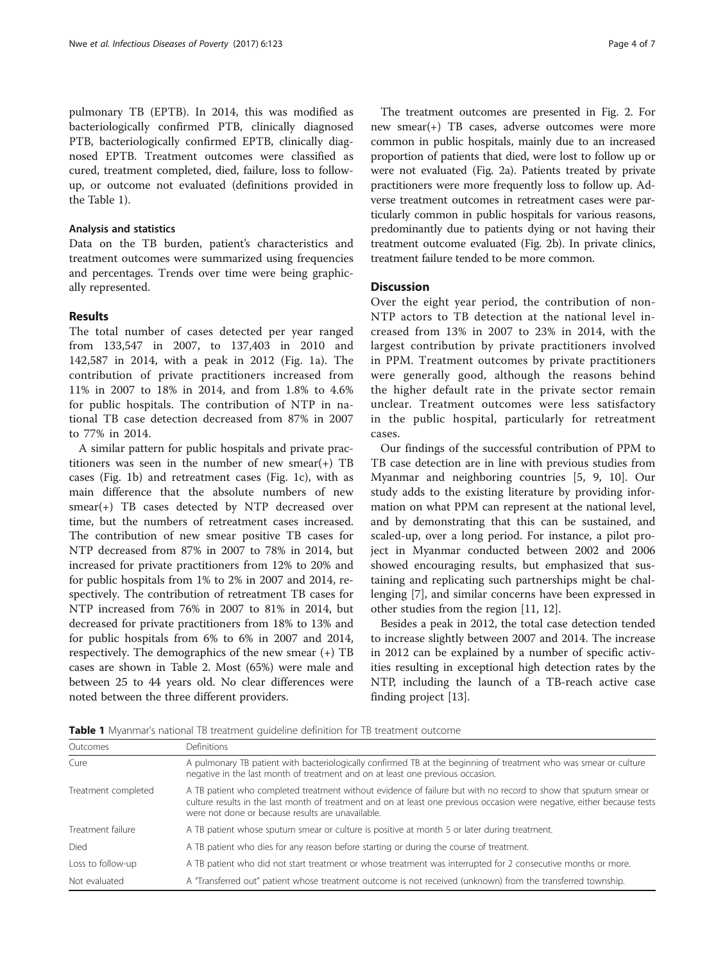pulmonary TB (EPTB). In 2014, this was modified as bacteriologically confirmed PTB, clinically diagnosed PTB, bacteriologically confirmed EPTB, clinically diagnosed EPTB. Treatment outcomes were classified as cured, treatment completed, died, failure, loss to followup, or outcome not evaluated (definitions provided in the Table 1).

#### Analysis and statistics

Data on the TB burden, patient's characteristics and treatment outcomes were summarized using frequencies and percentages. Trends over time were being graphically represented.

#### Results

The total number of cases detected per year ranged from 133,547 in 2007, to 137,403 in 2010 and 142,587 in 2014, with a peak in 2012 (Fig. [1a\)](#page-4-0). The contribution of private practitioners increased from 11% in 2007 to 18% in 2014, and from 1.8% to 4.6% for public hospitals. The contribution of NTP in national TB case detection decreased from 87% in 2007 to 77% in 2014.

A similar pattern for public hospitals and private practitioners was seen in the number of new smear $(+)$  TB cases (Fig. [1b](#page-4-0)) and retreatment cases (Fig. [1c](#page-4-0)), with as main difference that the absolute numbers of new smear(+) TB cases detected by NTP decreased over time, but the numbers of retreatment cases increased. The contribution of new smear positive TB cases for NTP decreased from 87% in 2007 to 78% in 2014, but increased for private practitioners from 12% to 20% and for public hospitals from 1% to 2% in 2007 and 2014, respectively. The contribution of retreatment TB cases for NTP increased from 76% in 2007 to 81% in 2014, but decreased for private practitioners from 18% to 13% and for public hospitals from 6% to 6% in 2007 and 2014, respectively. The demographics of the new smear (+) TB cases are shown in Table [2.](#page-4-0) Most (65%) were male and between 25 to 44 years old. No clear differences were noted between the three different providers.

The treatment outcomes are presented in Fig. [2](#page-4-0). For new smear(+) TB cases, adverse outcomes were more common in public hospitals, mainly due to an increased proportion of patients that died, were lost to follow up or were not evaluated (Fig. [2a](#page-4-0)). Patients treated by private practitioners were more frequently loss to follow up. Adverse treatment outcomes in retreatment cases were particularly common in public hospitals for various reasons, predominantly due to patients dying or not having their treatment outcome evaluated (Fig. [2b\)](#page-4-0). In private clinics, treatment failure tended to be more common.

## **Discussion**

Over the eight year period, the contribution of non-NTP actors to TB detection at the national level increased from 13% in 2007 to 23% in 2014, with the largest contribution by private practitioners involved in PPM. Treatment outcomes by private practitioners were generally good, although the reasons behind the higher default rate in the private sector remain unclear. Treatment outcomes were less satisfactory in the public hospital, particularly for retreatment cases.

Our findings of the successful contribution of PPM to TB case detection are in line with previous studies from Myanmar and neighboring countries [\[5, 9](#page-6-0), [10](#page-6-0)]. Our study adds to the existing literature by providing information on what PPM can represent at the national level, and by demonstrating that this can be sustained, and scaled-up, over a long period. For instance, a pilot project in Myanmar conducted between 2002 and 2006 showed encouraging results, but emphasized that sustaining and replicating such partnerships might be challenging [[7\]](#page-6-0), and similar concerns have been expressed in other studies from the region [\[11, 12\]](#page-6-0).

Besides a peak in 2012, the total case detection tended to increase slightly between 2007 and 2014. The increase in 2012 can be explained by a number of specific activities resulting in exceptional high detection rates by the NTP, including the launch of a TB-reach active case finding project [\[13\]](#page-6-0).

**Table 1** Myanmar's national TB treatment guideline definition for TB treatment outcome

| Outcomes            | Definitions                                                                                                                                                                                                                                                                                       |  |  |  |
|---------------------|---------------------------------------------------------------------------------------------------------------------------------------------------------------------------------------------------------------------------------------------------------------------------------------------------|--|--|--|
| Cure                | A pulmonary TB patient with bacteriologically confirmed TB at the beginning of treatment who was smear or culture<br>negative in the last month of treatment and on at least one previous occasion.                                                                                               |  |  |  |
| Treatment completed | A TB patient who completed treatment without evidence of failure but with no record to show that sputum smear or<br>culture results in the last month of treatment and on at least one previous occasion were negative, either because tests<br>were not done or because results are unavailable. |  |  |  |
| Treatment failure   | A TB patient whose sputum smear or culture is positive at month 5 or later during treatment.                                                                                                                                                                                                      |  |  |  |
| Died                | A TB patient who dies for any reason before starting or during the course of treatment.                                                                                                                                                                                                           |  |  |  |
| Loss to follow-up   | A TB patient who did not start treatment or whose treatment was interrupted for 2 consecutive months or more.                                                                                                                                                                                     |  |  |  |
| Not evaluated       | A "Transferred out" patient whose treatment outcome is not received (unknown) from the transferred township.                                                                                                                                                                                      |  |  |  |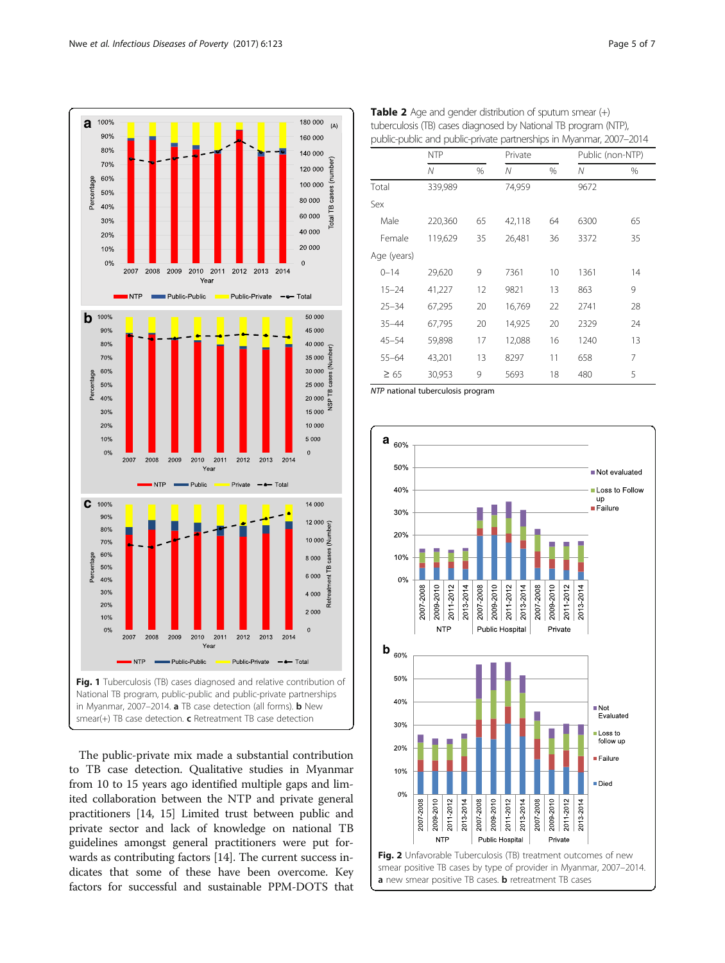<span id="page-4-0"></span>

The public-private mix made a substantial contribution to TB case detection. Qualitative studies in Myanmar from 10 to 15 years ago identified multiple gaps and limited collaboration between the NTP and private general practitioners [\[14, 15](#page-6-0)] Limited trust between public and private sector and lack of knowledge on national TB guidelines amongst general practitioners were put forwards as contributing factors [[14](#page-6-0)]. The current success indicates that some of these have been overcome. Key factors for successful and sustainable PPM-DOTS that

**Table 2** Age and gender distribution of sputum smear (+) tuberculosis (TB) cases diagnosed by National TB program (NTP), public-public and public-private partnerships in Myanmar, 2007–2014

|             | <b>NTP</b> |    | Private |    | Public (non-NTP) |    |
|-------------|------------|----|---------|----|------------------|----|
|             | Ν          | %  | Ν       | %  | N                | %  |
| Total       | 339,989    |    | 74,959  |    | 9672             |    |
| Sex         |            |    |         |    |                  |    |
| Male        | 220,360    | 65 | 42,118  | 64 | 6300             | 65 |
| Female      | 119,629    | 35 | 26,481  | 36 | 3372             | 35 |
| Age (years) |            |    |         |    |                  |    |
| $0 - 14$    | 29,620     | 9  | 7361    | 10 | 1361             | 14 |
| $15 - 24$   | 41,227     | 12 | 9821    | 13 | 863              | 9  |
| $25 - 34$   | 67,295     | 20 | 16,769  | 22 | 2741             | 28 |
| $35 - 44$   | 67,795     | 20 | 14,925  | 20 | 2329             | 24 |
| $45 - 54$   | 59,898     | 17 | 12,088  | 16 | 1240             | 13 |
| $55 - 64$   | 43,201     | 13 | 8297    | 11 | 658              | 7  |
| $\geq 65$   | 30,953     | 9  | 5693    | 18 | 480              | 5  |

NTP national tuberculosis program

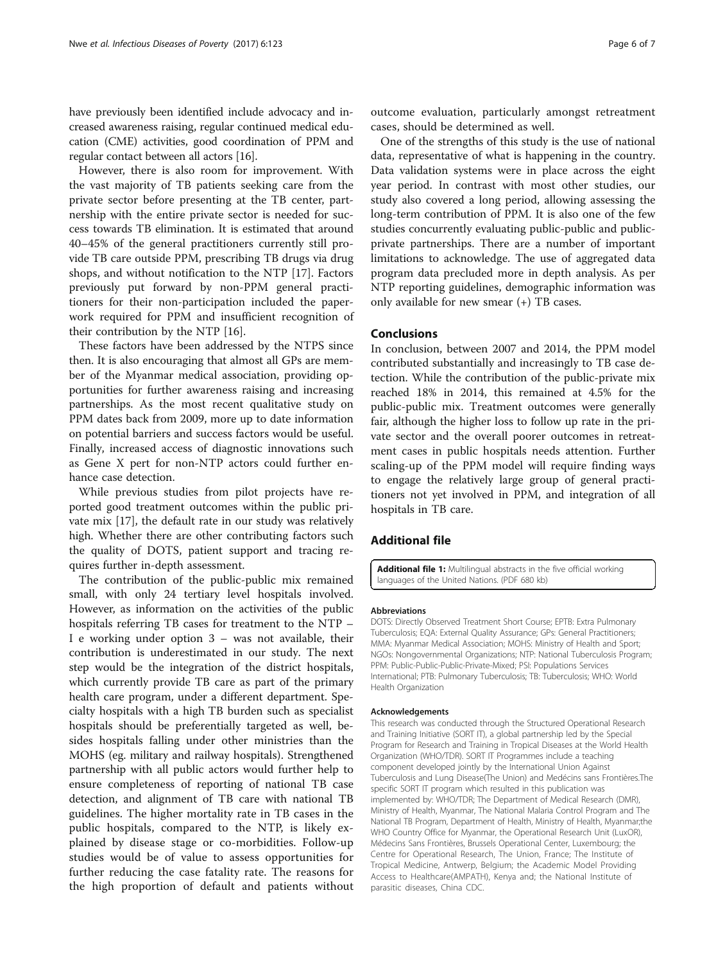<span id="page-5-0"></span>have previously been identified include advocacy and increased awareness raising, regular continued medical education (CME) activities, good coordination of PPM and regular contact between all actors [[16](#page-6-0)].

However, there is also room for improvement. With the vast majority of TB patients seeking care from the private sector before presenting at the TB center, partnership with the entire private sector is needed for success towards TB elimination. It is estimated that around 40–45% of the general practitioners currently still provide TB care outside PPM, prescribing TB drugs via drug shops, and without notification to the NTP [[17\]](#page-6-0). Factors previously put forward by non-PPM general practitioners for their non-participation included the paperwork required for PPM and insufficient recognition of their contribution by the NTP [[16\]](#page-6-0).

These factors have been addressed by the NTPS since then. It is also encouraging that almost all GPs are member of the Myanmar medical association, providing opportunities for further awareness raising and increasing partnerships. As the most recent qualitative study on PPM dates back from 2009, more up to date information on potential barriers and success factors would be useful. Finally, increased access of diagnostic innovations such as Gene X pert for non-NTP actors could further enhance case detection.

While previous studies from pilot projects have reported good treatment outcomes within the public private mix [\[17\]](#page-6-0), the default rate in our study was relatively high. Whether there are other contributing factors such the quality of DOTS, patient support and tracing requires further in-depth assessment.

The contribution of the public-public mix remained small, with only 24 tertiary level hospitals involved. However, as information on the activities of the public hospitals referring TB cases for treatment to the NTP – I e working under option 3 – was not available, their contribution is underestimated in our study. The next step would be the integration of the district hospitals, which currently provide TB care as part of the primary health care program, under a different department. Specialty hospitals with a high TB burden such as specialist hospitals should be preferentially targeted as well, besides hospitals falling under other ministries than the MOHS (eg. military and railway hospitals). Strengthened partnership with all public actors would further help to ensure completeness of reporting of national TB case detection, and alignment of TB care with national TB guidelines. The higher mortality rate in TB cases in the public hospitals, compared to the NTP, is likely explained by disease stage or co-morbidities. Follow-up studies would be of value to assess opportunities for further reducing the case fatality rate. The reasons for the high proportion of default and patients without

outcome evaluation, particularly amongst retreatment cases, should be determined as well.

One of the strengths of this study is the use of national data, representative of what is happening in the country. Data validation systems were in place across the eight year period. In contrast with most other studies, our study also covered a long period, allowing assessing the long-term contribution of PPM. It is also one of the few studies concurrently evaluating public-public and publicprivate partnerships. There are a number of important limitations to acknowledge. The use of aggregated data program data precluded more in depth analysis. As per NTP reporting guidelines, demographic information was only available for new smear (+) TB cases.

#### Conclusions

In conclusion, between 2007 and 2014, the PPM model contributed substantially and increasingly to TB case detection. While the contribution of the public-private mix reached 18% in 2014, this remained at 4.5% for the public-public mix. Treatment outcomes were generally fair, although the higher loss to follow up rate in the private sector and the overall poorer outcomes in retreatment cases in public hospitals needs attention. Further scaling-up of the PPM model will require finding ways to engage the relatively large group of general practitioners not yet involved in PPM, and integration of all hospitals in TB care.

## Additional file

[Additional file 1:](dx.doi.org/10.1186/s40249-017-0337-8) Multilingual abstracts in the five official working languages of the United Nations. (PDF 680 kb)

#### Abbreviations

DOTS: Directly Observed Treatment Short Course; EPTB: Extra Pulmonary Tuberculosis; EQA: External Quality Assurance; GPs: General Practitioners; MMA: Myanmar Medical Association; MOHS: Ministry of Health and Sport; NGOs: Nongovernmental Organizations; NTP: National Tuberculosis Program; PPM: Public-Public-Public-Private-Mixed; PSI: Populations Services International; PTB: Pulmonary Tuberculosis; TB: Tuberculosis; WHO: World Health Organization

#### Acknowledgements

This research was conducted through the Structured Operational Research and Training Initiative (SORT IT), a global partnership led by the Special Program for Research and Training in Tropical Diseases at the World Health Organization (WHO/TDR). SORT IT Programmes include a teaching component developed jointly by the International Union Against Tuberculosis and Lung Disease(The Union) and Medécins sans Frontières.The specific SORT IT program which resulted in this publication was implemented by: WHO/TDR; The Department of Medical Research (DMR), Ministry of Health, Myanmar, The National Malaria Control Program and The National TB Program, Department of Health, Ministry of Health, Myanmar;the WHO Country Office for Myanmar, the Operational Research Unit (LuxOR), Médecins Sans Frontières, Brussels Operational Center, Luxembourg; the Centre for Operational Research, The Union, France; The Institute of Tropical Medicine, Antwerp, Belgium; the Academic Model Providing Access to Healthcare(AMPATH), Kenya and; the National Institute of parasitic diseases, China CDC.